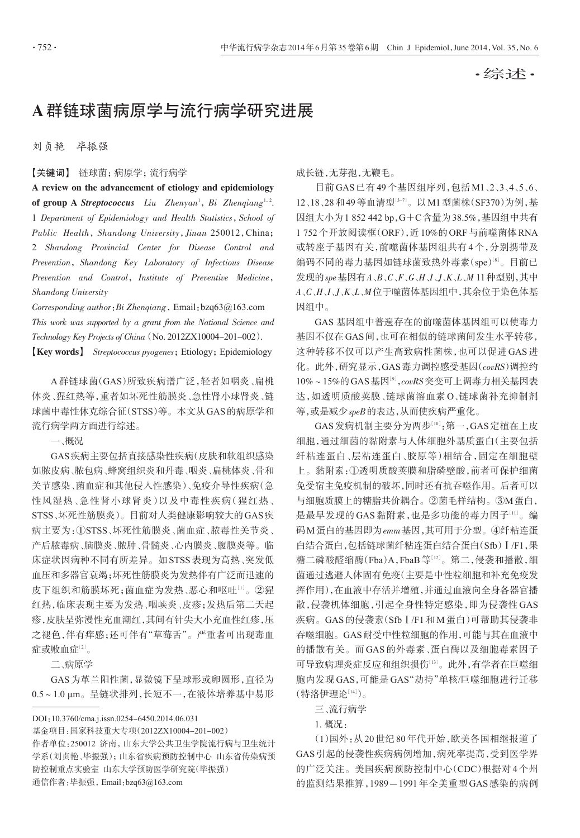·综述·

## A群链球菌病原学与流行病学研究进展

刘贞艳 毕振强

【关键词】 链球菌;病原学;流行病学

A review on the advancement of etiology and epidemiology of group A Streptococcus Liu Zhenyan<sup>1</sup>, Bi Zhenqiang<sup>1,2</sup>. 1 Department of Epidemiology and Health Statistics, School of Public Health, Shandong University, Jinan 250012, China; 2 Shandong Provincial Center for Disease Control and Prevention, Shandong Key Laboratory of Infectious Disease Prevention and Control, Institute of Preventive Medicine, Shandong University

Corresponding author: Bi Zhenqiang, Email: bzq63@163.com This work was supported by a grant from the National Science and Technology Key Projects of China(No. 2012ZX10004-201-002).

【Key words】 Streptococcus pyogenes;Etiology;Epidemiology

A 群链球菌(GAS)所致疾病谱广泛,轻者如咽炎、扁桃 体炎、猩红热等,重者如坏死性筋膜炎、急性肾小球肾炎、链 球菌中毒性休克综合征(STSS)等。本文从GAS的病原学和 流行病学两方面进行综述。

一、概况

GAS疾病主要包括直接感染性疾病(皮肤和软组织感染 如脓皮病、脓包病、蜂窝组织炎和丹毒、咽炎、扁桃体炎、骨和 关节感染、菌血症和其他侵入性感染)、免疫介导性疾病(急 性风湿热、急性肾小球肾炎)以及中毒性疾病(猩红热、 STSS、坏死性筋膜炎)。目前对人类健康影响较大的GAS疾 病主要为:①STSS、坏死性筋膜炎、菌血症、脓毒性关节炎、 产后脓毒病、脑膜炎、脓肿、骨髓炎、心内膜炎、腹膜炎等。临 床症状因病种不同有所差异。如STSS表现为高热、突发低 血压和多器官衰竭;坏死性筋膜炎为发热伴有广泛而迅速的 皮下组织和筋膜坏死;菌血症为发热、恶心和呕吐[1]。②猩 红热,临床表现主要为发热、咽峡炎、皮疹;发热后第二天起 疹,皮肤呈弥漫性充血潮红,其间有针尖大小充血性红疹,压 之褪色,伴有痒感;还可伴有"草莓舌"。严重者可出现毒血 症或败血症[2]。

二、病原学

GAS为革兰阳性菌,显微镜下呈球形或卵圆形,直径为 0.5~1.0 μm。呈链状排列,长短不一,在液体培养基中易形

DOI:10.3760/cma.j.issn.0254-6450.2014.06.031

基金项目:国家科技重大专项(2012ZX10004-201-002)

作者单位:250012 济南,山东大学公共卫生学院流行病与卫生统计 学系(刘贞艳、毕振强);山东省疾病预防控制中心 山东省传染病预 防控制重点实验室 山东大学预防医学研究院(毕振强)

通信作者:毕振强,Email:bzq63@163.com

成长链,无芽孢,无鞭毛。

目前GAS已有49个基因组序列,包括M1、2、3、4、5、6、 12、18、28和49等血清型[<sup>3</sup>-7] 。以M1型菌株(SF370)为例,基 因组大小为1 852 442 bp,G+C含量为38.5%,基因组中共有 1 752个开放阅读框(ORF),近10%的ORF与前噬菌体RNA 或转座子基因有关,前噬菌体基因组共有4个,分别携带及 编码不同的毒力基因如链球菌致热外毒素(spe)[8]。目前已  $\mathcal{B}$ 现的spe 基因有 $A \, , B \, , C \, , F \, , G \, , H \, , J \, , J \, , K \, , L \, , M$  11 种型别,其中 A、C、H、I、J、K、L、M位于噬菌体基因组中,其余位于染色体基 因组中。

GAS 基因组中普遍存在的前噬菌体基因组可以使毒力 基因不仅在GAS间,也可在相似的链球菌间发生水平转移, 这种转移不仅可以产生高致病性菌株,也可以促进 GAS 进 化。此外,研究显示,GAS毒力调控感受基因(covRS)调控约 10% ~ 15%的 GAS 基因<sup>[9]</sup>, covRS 突变可上调毒力相关基因表 达,如透明质酸荚膜、链球菌溶血素 O、链球菌补充抑制剂 等,或是减少speB的表达,从而使疾病严重化。

GAS发病机制主要分为两步[10]·第一,GAS定植在上皮 细胞,通过细菌的黏附素与人体细胞外基质蛋白(主要包括 纤粘连蛋白、层粘连蛋白、胶原等)相结合,固定在细胞壁 上。黏附素:①透明质酸荚膜和脂磷壁酸,前者可保护细菌 免受宿主免疫机制的破坏,同时还有抗吞噬作用。后者可以 与细胞质膜上的糖脂共价耦合。②菌毛样结构。③M蛋白, 是最早发现的 GAS 黏附素 ,也是多功能的毒力因子[11]。编 码M蛋白的基因即为emm基因,其可用于分型。④纤粘连蛋 白结合蛋白,包括链球菌纤粘连蛋白结合蛋白(Sfb)Ⅰ/F1,果 糖二磷酸醛缩酶(Fba)A,FbaB等[<sup>12</sup>] 。第二,侵袭和播散,细 菌通过逃避人体固有免疫(主要是中性粒细胞和补充免疫发 挥作用),在血液中存活并增殖,并通过血液向全身各器官播 散,侵袭机体细胞,引起全身性特定感染,即为侵袭性 GAS 疾病。GAS的侵袭素(SfbⅠ/F1和M蛋白)可帮助其侵袭非 吞噬细胞。GAS耐受中性粒细胞的作用,可能与其在血液中 的播散有关。而 GAS 的外毒素、蛋白酶以及细胞毒素因子 可导致病理炎症反应和组织损伤[<sup>13</sup>] 。此外,有学者在巨噬细 胞内发现GAS,可能是GAS"劫持"单核/巨噬细胞进行迁移 (特洛伊理论[<sup>14</sup>] )。

三、流行病学

1. 概况:

(1)国外:从20世纪80年代开始,欧美各国相继报道了 GAS引起的侵袭性疾病病例增加,病死率提高,受到医学界 的广泛关注。美国疾病预防控制中心(CDC)根据对 4 个州 的监测结果推算,1989-1991年全美重型GAS感染的病例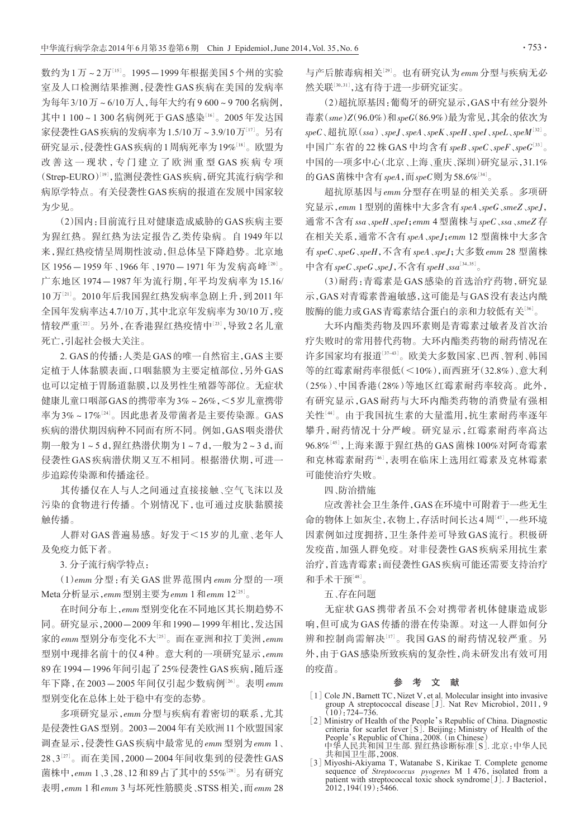数约为1万~2万[<sup>15</sup>] 。1995-1999年根据美国5个州的实验 室及人口检测结果推测,侵袭性 GAS 疾病在美国的发病率 为每年3/10万~6/10万人,每年大约有9 600~9 700名病例, 其中 1 100 ~ 1 300 名病例死于 GAS 感染<sup>[16]</sup>。2005 年发达国 家侵袭性GAS疾病的发病率为1.5/10万 ~ 3.9/10万[17]。另有 研究显示,侵袭性GAS疾病的1周病死率为19%<sup>[18]</sup>。欧盟为 改善这一现状,专门建立了欧洲重型 GAS 疾病专项 (Strep-EURO)[<sup>19</sup>] ,监测侵袭性GAS疾病,研究其流行病学和 病原学特点。有关侵袭性GAS疾病的报道在发展中国家较 为少见。

(2)国内:目前流行且对健康造成威胁的GAS疾病主要 为猩红热。猩红热为法定报告乙类传染病。自 1949 年以 来,猩红热疫情呈周期性波动,但总体呈下降趋势。北京地 区 1956-1959年、1966年、1970-1971 年为发病高峰[20]。 广东地区 1974-1987 年为流行期,年平均发病率为 15.16/ 10 万[<sup>21</sup>] 。2010年后我国猩红热发病率急剧上升,到2011年 全国年发病率达4.7/10万,其中北京年发病率为30/10万,疫 情较严重'<del>2'</del>'。另外,在香港猩红热疫情中'<sup>23'</sup>,导致2名儿童 死亡,引起社会极大关注。

2. GAS的传播:人类是GAS的唯一自然宿主,GAS主要 定植于人体黏膜表面,口咽黏膜为主要定植部位,另外GAS 也可以定植于胃肠道黏膜,以及男性生殖器等部位。无症状 健康儿童口咽部GAS的携带率为3%~26%,<5岁儿童携带 率为3%~17%<sup>[24]</sup>。因此患者及带菌者是主要传染源。GAS 疾病的潜伏期因病种不同而有所不同。例如,GAS咽炎潜伏 期一般为1~5 d,猩红热潜伏期为1~7 d,一般为2~3 d,而 侵袭性 GAS 疾病潜伏期又互不相同。根据潜伏期,可进一 步追踪传染源和传播途径。

其传播仅在人与人之间通过直接接触、空气飞沫以及 污染的食物进行传播。个别情况下,也可通过皮肤黏膜接 触传播。

人群对GAS普遍易感。好发于<15岁的儿童、老年人 及免疫力低下者。

3. 分子流行病学特点:

(1)emm 分型:有关 GAS 世界范围内 emm 分型的一项 Meta分析显示,emm型别主要为emm 1和emm 12<sup>[25]</sup>。

在时间分布上,emm型别变化在不同地区其长期趋势不 同。研究显示,2000-2009年和1990-1999年相比,发达国 家的emm型别分布变化不大<sup>[25]</sup>。而在亚洲和拉丁美洲,emm 型别中现排名前十的仅4种。意大利的一项研究显示,emm 89在1994-1996年间引起了25%侵袭性GAS疾病,随后逐 年下降,在2003—2005年间仅引起少数病例<sup>[26]</sup>。表明*emm* 型别变化在总体上处于稳中有变的态势。

多项研究显示,emm分型与疾病有着密切的联系,尤其 是侵袭性GAS型别。2003-2004年有关欧洲11个欧盟国家 调查显示,侵袭性GAS疾病中最常见的emm型别为emm 1、 28、3[27]。而在美国,2000—2004年间收集到的侵袭性GAS 菌株中,*emm* 1、3、28、12和89占了其中的55%<sup>[28]</sup>。另有研究 表明,emm 1和emm 3与坏死性筋膜炎、STSS相关,而emm 28 与产后脓毒病相关<sup>[29]</sup>。也有研究认为*emm* 分型与疾病无必 然关联[<sup>30</sup>,31] ,这有待于进一步研究证实。

(2)超抗原基因:葡萄牙的研究显示,GAS中有丝分裂外 毒素(sme)Z(96.0%)和speG(86.9%)最为常见,其余的依次为  $speC$ 、超抗原(ssa)、speJ、speA、speK、speH、speI、speL、speM $^{[32]}$ 。 中国广东省的22株GAS中均含有 speB、speC、speF、speG $^{\text{\tiny{[33]}}}$ 。 中国的一项多中心(北京、上海、重庆、深圳)研究显示,31.1% 的GAS菌株中含有speA,而speC则为58.6% $^{[34]}$ 。

超抗原基因与emm分型存在明显的相关关系。多项研 究显示,emm 1型别的菌株中大多含有speA、speG、smeZ、speJ, 通常不含有ssa、speH、speI;emm 4型菌株与speC、ssa、smeZ存 在相关关系,通常不含有speA、speJ;emm 12 型菌株中大多含 有 speC、speG、speH,不含有 speA、speJ;大多数 emm 28 型菌株 中含有speC、speG、speJ,不含有speH、ssa<sup>[34,35]</sup>。

(3)耐药:青霉素是 GAS 感染的首选治疗药物,研究显 示,GAS对青霉素普遍敏感,这可能是与GAS没有表达内酰 胺酶的能力或GAS青霉素结合蛋白的亲和力较低有关<sup>[36]</sup>。

大环内酯类药物及四环素则是青霉素过敏者及首次治 疗失败时的常用替代药物。大环内酯类药物的耐药情况在 许多国家均有报道[<sup>37</sup>-43] 。欧美大多数国家、巴西、智利、韩国 等的红霉素耐药率很低(<10%),而西班牙(32.8%)、意大利 (25%)、中国香港(28%)等地区红霉素耐药率较高。此外, 有研究显示,GAS 耐药与大环内酯类药物的消费量有强相 关性[<sup>44</sup>] 。由于我国抗生素的大量滥用,抗生素耐药率逐年 攀升,耐药情况十分严峻。研究显示,红霉素耐药率高达 96.8%[45],上海来源于猩红热的 GAS 菌株 100%对阿奇霉素 和克林霉素耐药!"(,表明在临床上选用红霉素及克林霉素 可能使治疗失败。

## 四、防治措施

应改善社会卫生条件,GAS在环境中可附着于一些无生 命的物体上如灰尘,衣物上,存活时间长达4周[<sup>47</sup>] ,一些环境 因素例如过度拥挤,卫生条件差可导致 GAS 流行。积极研 发疫苗,加强人群免疫。对非侵袭性 GAS 疾病采用抗生素 治疗,首选青霉素;而侵袭性GAS疾病可能还需要支持治疗 和手术干预[<sup>48</sup>] 。

## 五、存在问题

无症状 GAS 携带者虽不会对携带者机体健康造成影 响,但可成为 GAS 传播的潜在传染源。对这一人群如何分 辨和控制尚需解决[<sup>17</sup>] 。我国 GAS 的耐药情况较严重。另 外,由于GAS感染所致疾病的复杂性,尚未研发出有效可用 的疫苗。

## 参 考 文 献

- [1] Cole JN, Barnett TC, Nizet V, et al. Molecular insight into invasive group A streptococcal disease[J]. Nat Rev Microbiol,2011,9  $(10)$ : 724-736.
- [2] Ministry of Health of the People's Republic of China. Diagnostic criteria for scarlet fever [S]. Beijing: Ministry of Health of the People's Republic of China,2008.(in Chinese) 中华人民共和国卫生部. 猩红热诊断标准[S]. 北京:中华人民 共和国卫生部,2008.
- [3] Miyoshi-Akiyama T, Watanabe S, Kirikae T. Complete genome sequence of *Streptococcus pyogenes*  $M$  1 476, isolated from a patient with streptococcal toxic shock syndrome<sup>[J]</sup>. J Bacteriol,  $2012,194(19):5466.$